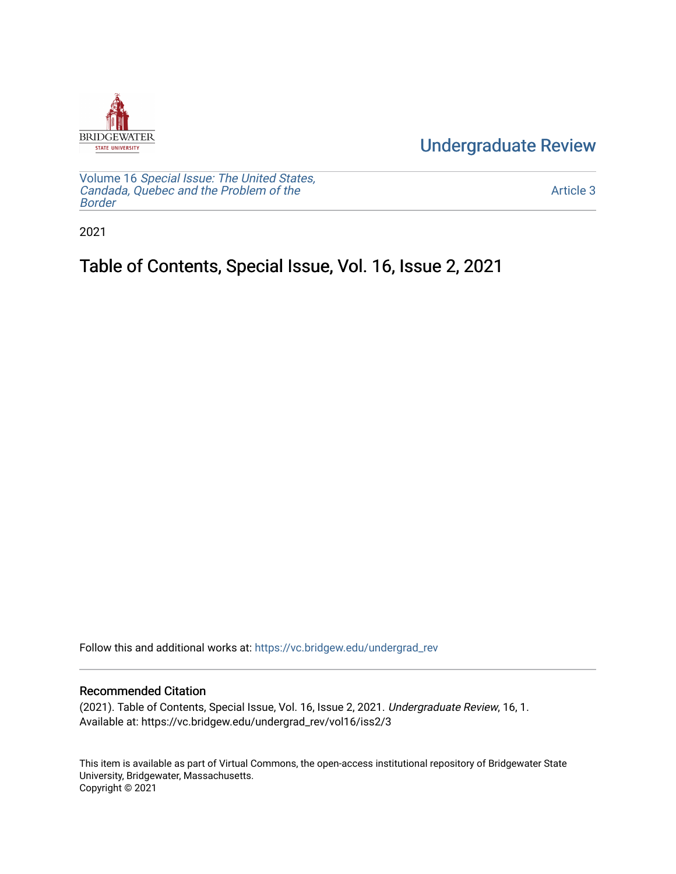

[Undergraduate Review](https://vc.bridgew.edu/undergrad_rev) 

Volume 16 [Special Issue: The United States,](https://vc.bridgew.edu/undergrad_rev/vol16)  [Candada, Quebec and the Problem of the](https://vc.bridgew.edu/undergrad_rev/vol16)  [Border](https://vc.bridgew.edu/undergrad_rev/vol16)

[Article 3](https://vc.bridgew.edu/undergrad_rev/vol16/iss2/3) 

2021

## Table of Contents, Special Issue, Vol. 16, Issue 2, 2021

Follow this and additional works at: [https://vc.bridgew.edu/undergrad\\_rev](https://vc.bridgew.edu/undergrad_rev?utm_source=vc.bridgew.edu%2Fundergrad_rev%2Fvol16%2Fiss2%2F3&utm_medium=PDF&utm_campaign=PDFCoverPages)

## Recommended Citation

(2021). Table of Contents, Special Issue, Vol. 16, Issue 2, 2021. Undergraduate Review, 16, 1. Available at: https://vc.bridgew.edu/undergrad\_rev/vol16/iss2/3

This item is available as part of Virtual Commons, the open-access institutional repository of Bridgewater State University, Bridgewater, Massachusetts. Copyright © 2021